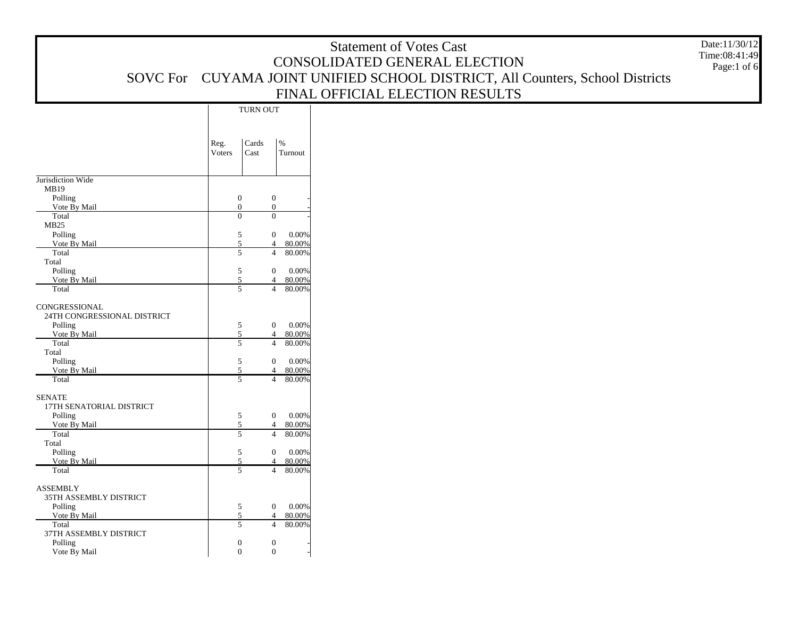|                                              |                |                                  |                                                                                  | <b>Statement of Votes Cast</b><br>CONSOLIDATED GENERAL ELECTION               | Date:11/30/12<br>Time:08:41:49<br>Page:1 of 6 |
|----------------------------------------------|----------------|----------------------------------|----------------------------------------------------------------------------------|-------------------------------------------------------------------------------|-----------------------------------------------|
|                                              |                |                                  |                                                                                  | SOVC For CUYAMA JOINT UNIFIED SCHOOL DISTRICT, All Counters, School Districts |                                               |
|                                              |                |                                  |                                                                                  | FINAL OFFICIAL ELECTION RESULTS                                               |                                               |
|                                              |                | TURN OUT                         |                                                                                  |                                                                               |                                               |
|                                              |                |                                  |                                                                                  |                                                                               |                                               |
|                                              | Reg.<br>Voters | Cards<br>Cast                    | $\%$<br>Turnout                                                                  |                                                                               |                                               |
| Jurisdiction Wide                            |                |                                  |                                                                                  |                                                                               |                                               |
| MB19<br>Polling<br>Vote By Mail              |                | $\overline{0}$<br>$\mathbf{0}$   | $\boldsymbol{0}$<br>$\overline{0}$                                               |                                                                               |                                               |
| Total<br>MB <sub>25</sub>                    |                | $\mathbf{0}$                     | $\overline{0}$                                                                   |                                                                               |                                               |
| Polling<br>Vote By Mail                      |                | $\overline{5}$<br>$\sqrt{5}$     | $\mathbf{0}$<br>0.00%<br>$\overline{4}$<br>80.00%                                |                                                                               |                                               |
| Total<br>Total                               |                | $\overline{5}$                   | $\overline{4}$<br>80.00%                                                         |                                                                               |                                               |
| Polling<br>Vote By Mail<br>Total             |                | $\overline{5}$<br>5<br>5         | $0.00\%$<br>$\mathbf{0}$<br>80.00%<br>$\overline{4}$<br>80.00%<br>$\overline{4}$ |                                                                               |                                               |
|                                              |                |                                  |                                                                                  |                                                                               |                                               |
| CONGRESSIONAL<br>24TH CONGRESSIONAL DISTRICT |                |                                  |                                                                                  |                                                                               |                                               |
| Polling<br>Vote By Mail                      |                | 5<br>$\mathfrak{S}$              | $0.00\%$<br>$\overline{0}$<br>80.00%<br>$\overline{4}$                           |                                                                               |                                               |
| Total                                        |                | $\overline{5}$                   | 80.00%<br>$\overline{4}$                                                         |                                                                               |                                               |
| Total<br>Polling                             |                | $\sqrt{5}$                       | $0.00\%$<br>$\overline{0}$                                                       |                                                                               |                                               |
| Vote By Mail<br>Total                        |                | 5<br>$\overline{5}$              | 80.00%<br>$\overline{4}$<br>80.00%<br>$\overline{4}$                             |                                                                               |                                               |
| <b>SENATE</b><br>17TH SENATORIAL DISTRICT    |                |                                  |                                                                                  |                                                                               |                                               |
| Polling                                      |                | 5                                | $0.00\%$<br>$\overline{0}$                                                       |                                                                               |                                               |
| Vote By Mail<br>Total                        |                | $\overline{5}$<br>$\overline{5}$ | 80.00%<br>$\overline{4}$<br>80.00%<br>$\overline{4}$                             |                                                                               |                                               |
| Total<br>Polling                             |                | 5                                | $\overline{0}$<br>$0.00\%$                                                       |                                                                               |                                               |
| Vote By Mail                                 |                | 5                                | 80.00%<br>$\overline{4}$                                                         |                                                                               |                                               |
| Total                                        |                | $\overline{5}$                   | 80.00%<br>$\overline{4}$                                                         |                                                                               |                                               |
| <b>ASSEMBLY</b><br>35TH ASSEMBLY DISTRICT    |                |                                  |                                                                                  |                                                                               |                                               |
| Polling<br>Vote By Mail                      |                | 5<br>5                           | $\overline{0}$<br>$0.00\%$<br>80.00%<br>$\overline{4}$                           |                                                                               |                                               |
| Total                                        |                | $\overline{5}$                   | $\overline{4}$<br>80.00%                                                         |                                                                               |                                               |
| 37TH ASSEMBLY DISTRICT<br>Polling            |                | $\overline{0}$                   | $\boldsymbol{0}$                                                                 |                                                                               |                                               |
| Vote By Mail                                 |                | $\overline{0}$                   | $\mathbf{0}$                                                                     |                                                                               |                                               |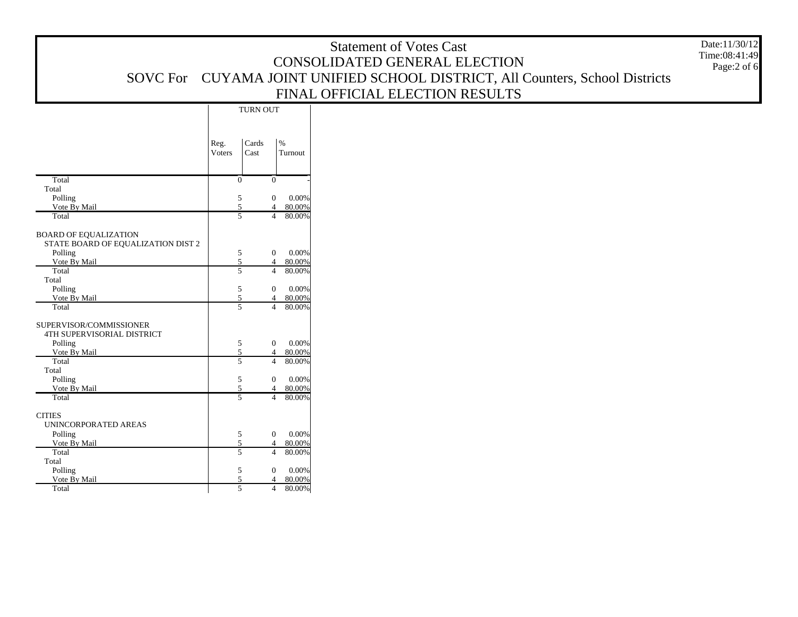|                                    |                |                                  |                                                      | <b>Statement of Votes Cast</b>                                       | Date:11/30/12<br>Time:08:41:49 |
|------------------------------------|----------------|----------------------------------|------------------------------------------------------|----------------------------------------------------------------------|--------------------------------|
|                                    |                |                                  |                                                      | CONSOLIDATED GENERAL ELECTION                                        | Page:2 of 6                    |
| <b>SOVC</b> For                    |                |                                  |                                                      | CUYAMA JOINT UNIFIED SCHOOL DISTRICT, All Counters, School Districts |                                |
|                                    |                |                                  |                                                      | FINAL OFFICIAL ELECTION RESULTS                                      |                                |
|                                    |                |                                  |                                                      |                                                                      |                                |
|                                    |                | TURN OUT                         |                                                      |                                                                      |                                |
|                                    |                |                                  |                                                      |                                                                      |                                |
|                                    |                | Cards                            | $\%$                                                 |                                                                      |                                |
|                                    | Reg.<br>Voters | Cast                             | Turnout                                              |                                                                      |                                |
|                                    |                |                                  |                                                      |                                                                      |                                |
| Total                              |                | $\overline{0}$                   | $\overline{0}$                                       |                                                                      |                                |
| Total                              |                |                                  |                                                      |                                                                      |                                |
| Polling                            |                | 5                                | $\overline{0}$<br>0.00%                              |                                                                      |                                |
| Vote By Mail                       |                | $\overline{5}$                   | 80.00%<br>$\Delta$                                   |                                                                      |                                |
| Total                              |                | $\overline{5}$                   | 80.00%<br>$\overline{4}$                             |                                                                      |                                |
| <b>BOARD OF EQUALIZATION</b>       |                |                                  |                                                      |                                                                      |                                |
| STATE BOARD OF EQUALIZATION DIST 2 |                |                                  |                                                      |                                                                      |                                |
| Polling                            |                | 5                                | 0.00%<br>$\overline{0}$                              |                                                                      |                                |
| Vote By Mail<br>Total              |                | $\sqrt{5}$<br>$\overline{5}$     | 80.00%<br>$\overline{4}$<br>80.00%<br>$\overline{4}$ |                                                                      |                                |
| Total                              |                |                                  |                                                      |                                                                      |                                |
| Polling                            |                | 5                                | 0.00%<br>$\overline{0}$                              |                                                                      |                                |
| Vote By Mail                       |                | 5                                | 80.00%<br>$\overline{4}$                             |                                                                      |                                |
| Total                              |                | $\overline{5}$                   | 4 80,00%                                             |                                                                      |                                |
| SUPERVISOR/COMMISSIONER            |                |                                  |                                                      |                                                                      |                                |
| 4TH SUPERVISORIAL DISTRICT         |                |                                  |                                                      |                                                                      |                                |
| Polling                            |                | 5                                | 0.00%<br>$\mathbf{0}$                                |                                                                      |                                |
| Vote By Mail<br>Total              |                | $\mathfrak{S}$<br>$\overline{5}$ | 80.00%<br>$\overline{4}$<br>80.00%<br>$\overline{4}$ |                                                                      |                                |
| Total                              |                |                                  |                                                      |                                                                      |                                |
| Polling                            |                | 5                                | 0.00%<br>$\overline{0}$                              |                                                                      |                                |
| Vote By Mail                       |                | 5                                | 80.00%<br>$\overline{4}$                             |                                                                      |                                |
| Total                              |                | $\overline{5}$                   | 4 80.00%                                             |                                                                      |                                |
| <b>CITIES</b>                      |                |                                  |                                                      |                                                                      |                                |
| UNINCORPORATED AREAS               |                |                                  |                                                      |                                                                      |                                |
| Polling                            |                | 5                                | 0.00%<br>$\mathbf{0}$                                |                                                                      |                                |
| Vote By Mail<br>Total              |                | $\overline{5}$<br>$\overline{5}$ | 80.00%<br>$\overline{4}$<br>80.00%<br>$\overline{4}$ |                                                                      |                                |
| Total                              |                |                                  |                                                      |                                                                      |                                |
| Polling                            |                | 5                                | 0.00%<br>$\mathbf{0}$                                |                                                                      |                                |
| Vote By Mail                       |                | 5                                | 80.00%<br>$\overline{4}$                             |                                                                      |                                |
| Total                              |                | $\overline{5}$                   | 4 80.00%                                             |                                                                      |                                |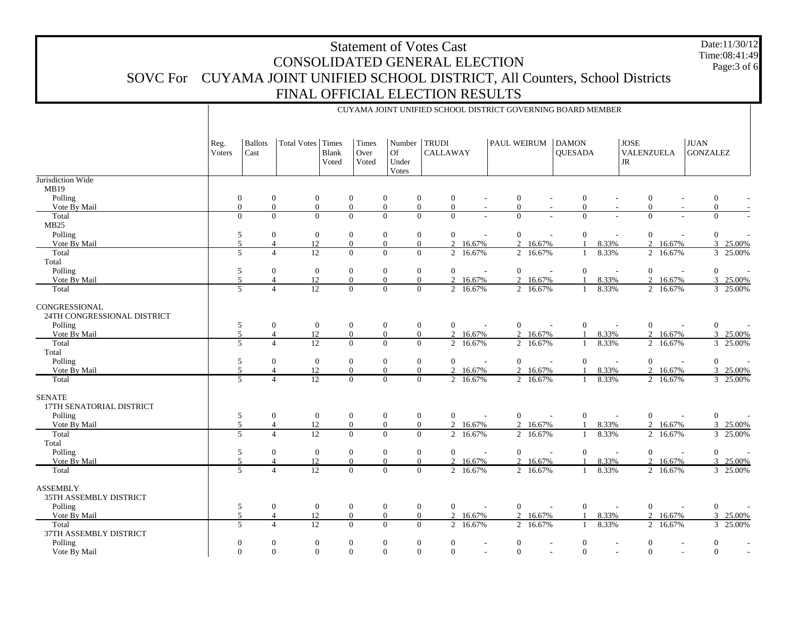## Statement of Votes Cast CONSOLIDATED GENERAL ELECTION SOVC For CUYAMA JOINT UNIFIED SCHOOL DISTRICT, All Counters, School Districts FINAL OFFICIAL ELECTION RESULTS Date:11/30/12 Time:08:41:49

CUYAMA JOINT UNIFIED SCHOOL DISTRICT GOVERNING BOARD MEMBER

Page:3 of 6

|                                              | Reg.<br>Voters | <b>Ballots</b><br>Cast           | Total Votes Times                                                    | Blank<br>Voted | Times<br>Over<br>Voted           | Number<br>Of<br>Under<br>Votes                                           | <b>TRUDI</b><br><b>CALLAWAY</b>  |                  | <b>PAUL WEIRUM</b>           |                          | <b>DAMON</b><br><b>QUESADA</b> |                          | <b>JOSE</b><br>VALENZUELA<br>$\rm JR$ |                          | <b>JUAN</b><br><b>GONZALEZ</b>   |                      |
|----------------------------------------------|----------------|----------------------------------|----------------------------------------------------------------------|----------------|----------------------------------|--------------------------------------------------------------------------|----------------------------------|------------------|------------------------------|--------------------------|--------------------------------|--------------------------|---------------------------------------|--------------------------|----------------------------------|----------------------|
| Jurisdiction Wide                            |                |                                  |                                                                      |                |                                  |                                                                          |                                  |                  |                              |                          |                                |                          |                                       |                          |                                  |                      |
| MB19<br>Polling                              |                | $\mathbf{0}$                     | $\boldsymbol{0}$<br>$\boldsymbol{0}$                                 |                | $\boldsymbol{0}$                 | $\boldsymbol{0}$<br>$\mathbf{0}$                                         | $\mathbf{0}$                     |                  | $\boldsymbol{0}$             |                          | $\boldsymbol{0}$               |                          | $\boldsymbol{0}$                      |                          | $\boldsymbol{0}$                 |                      |
| Vote By Mail                                 |                | $\overline{0}$                   | $\overline{0}$<br>$\overline{0}$                                     |                | $\theta$                         | $\mathbf{0}$<br>$\overline{0}$                                           | $\mathbf{0}$                     |                  | $\mathbf{0}$                 |                          | $\mathbf{0}$                   |                          | $\boldsymbol{0}$                      |                          | $\overline{0}$                   |                      |
| Total                                        |                | $\Omega$                         | $\overline{0}$<br>$\Omega$                                           |                | $\Omega$                         | $\mathbf{0}$<br>$\overline{0}$                                           | $\mathbf{0}$                     |                  | $\mathbf{0}$                 |                          | $\overline{0}$                 |                          | $\boldsymbol{0}$                      |                          | $\overline{0}$                   |                      |
| MB25                                         |                |                                  |                                                                      |                |                                  |                                                                          |                                  |                  |                              |                          |                                |                          |                                       |                          |                                  |                      |
| Polling                                      |                | 5                                | $\overline{0}$<br>$\overline{0}$                                     |                | $\theta$                         | $\boldsymbol{0}$<br>$\mathbf{0}$                                         | $\overline{0}$                   |                  | $\mathbf{0}$                 | $\overline{\phantom{a}}$ | $\mathbf{0}$                   |                          | $\mathbf{0}$                          | $\overline{\phantom{a}}$ | $\overline{0}$                   |                      |
| Vote By Mail                                 |                | 5                                | 12<br>$\overline{4}$                                                 |                | $\boldsymbol{0}$                 | $\boldsymbol{0}$<br>$\overline{0}$                                       | $\overline{2}$                   | 16.67%           |                              | 2 16.67%                 | $\mathbf{1}$                   | 8.33%                    |                                       | 2 16.67%                 |                                  | 3 25.00%             |
| Total                                        |                | $\overline{5}$                   | 12<br>$\Delta$                                                       |                | $\Omega$                         | $\overline{0}$<br>$\overline{0}$                                         | $\overline{2}$                   | 16.67%           |                              | 2 16.67%                 | $\mathbf{1}$                   | 8.33%                    |                                       | 2 16.67%                 |                                  | 3 25.00%             |
| Total                                        |                |                                  |                                                                      |                |                                  |                                                                          |                                  |                  |                              |                          |                                |                          |                                       |                          |                                  |                      |
| Polling                                      |                | $\sqrt{5}$                       | $\boldsymbol{0}$<br>$\mathbf{0}$                                     |                | $\boldsymbol{0}$                 | $\boldsymbol{0}$<br>$\mathbf{0}$                                         | $\mathbf{0}$                     |                  | $\mathbf{0}$                 | $\overline{\phantom{a}}$ | $\mathbf{0}$                   | $\overline{a}$           | $\boldsymbol{0}$                      | $\overline{a}$           | $\overline{0}$                   |                      |
| Vote By Mail                                 |                | $\mathfrak{F}$                   | 12<br>$\overline{4}$                                                 |                | $\Omega$                         | $\overline{0}$<br>$\overline{0}$                                         | $\overline{2}$                   | 16.67%           |                              | 2 16.67%                 |                                | 8.33%                    |                                       | 2 16.67%                 |                                  | 3 25.00%             |
| Total                                        |                | $\overline{5}$                   | 12<br>$\overline{4}$                                                 |                | $\mathbf{0}$                     | $\overline{0}$<br>$\overline{0}$                                         |                                  | 2 16.67%         |                              | 2 16.67%                 | $\mathbf{1}$                   | 8.33%                    |                                       | 2 16.67%                 |                                  | 3 25.00%             |
| CONGRESSIONAL<br>24TH CONGRESSIONAL DISTRICT |                |                                  |                                                                      |                |                                  |                                                                          |                                  |                  |                              |                          |                                |                          |                                       |                          |                                  |                      |
| Polling                                      |                | 5                                | $\overline{0}$<br>$\overline{0}$                                     |                | $\overline{0}$                   | $\boldsymbol{0}$<br>$\mathbf{0}$                                         | $\overline{0}$                   |                  | $\mathbf{0}$                 |                          | $\overline{0}$                 |                          | $\boldsymbol{0}$                      |                          | $\mathbf{0}$                     |                      |
| Vote By Mail                                 |                | $\overline{5}$                   | 12<br>$\overline{4}$                                                 |                | $\mathbf{0}$                     | $\mathbf{0}$<br>$\overline{0}$                                           | $\overline{2}$                   | 16.67%           | $\overline{2}$               | 16.67%                   | $\mathbf{1}$                   | 8.33%                    |                                       | 2 16.67%                 |                                  | 3 25.00%             |
| Total                                        |                | $\overline{5}$                   | 12<br>$\Delta$                                                       |                | $\Omega$                         | $\Omega$<br>$\overline{0}$                                               | $\overline{2}$                   | 16.67%           |                              | 2 16.67%                 |                                | 8.33%                    |                                       | 2 16.67%                 |                                  | 3 25.00%             |
| Total                                        |                |                                  |                                                                      |                |                                  |                                                                          |                                  |                  |                              |                          |                                |                          |                                       |                          |                                  |                      |
| Polling                                      |                | 5<br>5                           | $\overline{0}$<br>$\overline{0}$                                     |                | $\mathbf{0}$                     | $\boldsymbol{0}$<br>$\mathbf{0}$                                         | $\mathbf{0}$                     |                  | $\overline{0}$               | $\sim$                   | $\mathbf{0}$                   | $\sim$                   | $\mathbf{0}$                          | $\overline{a}$           | $\overline{0}$                   |                      |
| Vote By Mail<br>Total                        |                | $\overline{A}$<br>$\overline{5}$ | 12<br>$\overline{12}$<br>$\Delta$                                    |                | $\mathbf{0}$<br>$\Omega$         | $\mathbf{0}$<br>$\overline{0}$<br>$\overline{0}$<br>$\overline{0}$       | $\overline{2}$<br>$\overline{2}$ | 16.67%<br>16.67% |                              | 2 16.67%<br>2 16.67%     | $\mathbf{1}$                   | 8.33%<br>8.33%           |                                       | 2 16.67%<br>2 16.67%     |                                  | 3 25.00%<br>3 25.00% |
|                                              |                |                                  |                                                                      |                |                                  |                                                                          |                                  |                  |                              |                          |                                |                          |                                       |                          |                                  |                      |
| <b>SENATE</b><br>17TH SENATORIAL DISTRICT    |                |                                  |                                                                      |                |                                  |                                                                          |                                  |                  |                              |                          |                                |                          |                                       |                          |                                  |                      |
| Polling                                      |                | 5                                | $\boldsymbol{0}$<br>$\mathbf{0}$                                     |                | $\boldsymbol{0}$                 | $\boldsymbol{0}$<br>$\mathbf{0}$                                         | $\mathbf{0}$                     |                  | $\mathbf{0}$                 |                          | $\boldsymbol{0}$               |                          | $\boldsymbol{0}$                      |                          | $\mathbf{0}$                     |                      |
| Vote By Mail                                 |                | $\overline{5}$                   | 12<br>$\overline{4}$                                                 |                | $\mathbf{0}$                     | $\boldsymbol{0}$<br>$\overline{0}$                                       | $\overline{2}$                   | 16.67%           |                              | 2 16.67%                 | $\mathbf{1}$                   | 8.33%                    |                                       | 2 16.67%                 | $\mathfrak{Z}$                   | 25.00%               |
| Total                                        |                | $\overline{5}$                   | 12<br>$\overline{4}$                                                 |                | $\overline{0}$                   | $\overline{0}$<br>$\overline{0}$                                         | $\overline{2}$                   | 16.67%           | $\overline{2}$               | 16.67%                   |                                | 8.33%                    |                                       | 2 16.67%                 | $\mathfrak{Z}$                   | 25.00%               |
| Total<br>Polling                             |                | 5                                | $\overline{0}$<br>$\mathbf{0}$                                       |                | $\mathbf{0}$                     | $\boldsymbol{0}$<br>$\mathbf{0}$                                         | $\mathbf{0}$                     |                  | $\boldsymbol{0}$             |                          | $\boldsymbol{0}$               |                          | $\mathbf{0}$                          |                          | $\overline{0}$                   |                      |
| Vote By Mail                                 |                | $\overline{5}$<br>$\overline{4}$ | 12                                                                   |                | $\theta$                         | $\mathbf{0}$<br>$\overline{0}$                                           | $\overline{2}$                   | 16.67%           | $\overline{2}$               | 16.67%                   |                                | 8.33%                    |                                       | 2 16.67%                 |                                  | 3 25.00%             |
| Total                                        |                | $\overline{5}$                   | $\overline{12}$<br>$\overline{4}$                                    |                | $\overline{0}$                   | $\overline{0}$<br>$\overline{0}$                                         |                                  | 2 16.67%         |                              | 2 16.67%                 | $\mathbf{1}$                   | 8.33%                    |                                       | $\overline{2}$ 16.67%    |                                  | 3 25.00%             |
|                                              |                |                                  |                                                                      |                |                                  |                                                                          |                                  |                  |                              |                          |                                |                          |                                       |                          |                                  |                      |
| <b>ASSEMBLY</b><br>35TH ASSEMBLY DISTRICT    |                |                                  |                                                                      |                |                                  |                                                                          |                                  |                  |                              |                          |                                |                          |                                       |                          |                                  |                      |
| Polling                                      |                | 5                                | $\mathbf{0}$<br>$\mathbf{0}$                                         |                | $\mathbf{0}$                     | $\boldsymbol{0}$<br>$\boldsymbol{0}$                                     | $\mathbf{0}$                     |                  | $\boldsymbol{0}$             | $\overline{\phantom{a}}$ | $\boldsymbol{0}$               | $\overline{\phantom{a}}$ | $\boldsymbol{0}$                      | $\sim$                   | $\mathbf{0}$                     |                      |
| Vote By Mail                                 |                | 5                                | 12<br>$\overline{4}$                                                 |                | $\overline{0}$                   | $\mathbf{0}$<br>$\mathbf{0}$                                             | $\overline{2}$                   | 16.67%           |                              | 2 16.67%                 |                                | 8.33%                    |                                       | 2 16.67%                 | $\mathbf{3}$                     | 25.00%               |
| Total                                        |                | $\overline{5}$                   | 12<br>$\overline{4}$                                                 |                | $\Omega$                         | $\overline{0}$<br>$\overline{0}$                                         |                                  | 2 16.67%         |                              | 2 16.67%                 | $\mathbf{1}$                   | 8.33%                    |                                       | 2 16.67%                 |                                  | 3 25.00%             |
| 37TH ASSEMBLY DISTRICT                       |                |                                  |                                                                      |                |                                  |                                                                          |                                  |                  |                              |                          |                                |                          |                                       |                          |                                  |                      |
| Polling<br>Vote By Mail                      |                | $\mathbf{0}$<br>$\overline{0}$   | $\boldsymbol{0}$<br>$\mathbf{0}$<br>$\overline{0}$<br>$\overline{0}$ |                | $\boldsymbol{0}$<br>$\mathbf{0}$ | $\boldsymbol{0}$<br>$\boldsymbol{0}$<br>$\boldsymbol{0}$<br>$\mathbf{0}$ | $\mathbf{0}$<br>$\overline{0}$   |                  | $\mathbf{0}$<br>$\mathbf{0}$ |                          | $\mathbf{0}$<br>$\mathbf{0}$   | $\sim$                   | $\mathbf{0}$<br>$\overline{0}$        |                          | $\boldsymbol{0}$<br>$\mathbf{0}$ |                      |
|                                              |                |                                  |                                                                      |                |                                  |                                                                          |                                  |                  |                              |                          |                                |                          |                                       |                          |                                  |                      |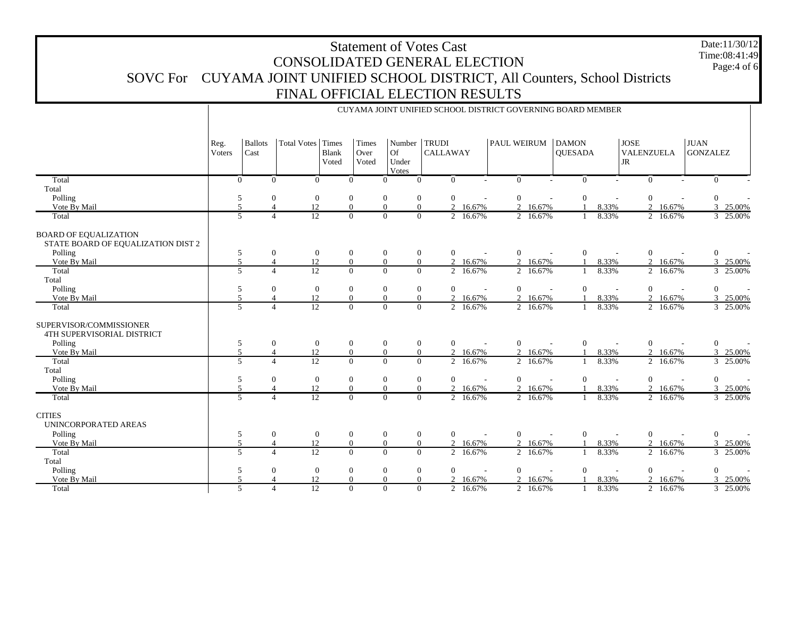## Statement of Votes Cast CONSOLIDATED GENERAL ELECTION SOVC For CUYAMA JOINT UNIFIED SCHOOL DISTRICT, All Counters, School Districts FINAL OFFICIAL ELECTION RESULTS

CUYAMA JOINT UNIFIED SCHOOL DISTRICT GOVERNING BOARD MEMBER

Date:11/30/12 Time:08:41:49Page:4 of 6

|                                                                    | Reg.<br><b>Voters</b> | <b>Ballots</b><br>Cast   | Total Votes Times                | Blank<br>Voted | Times<br>Over<br>Voted | Number<br>Of<br>Under<br>Votes | <b>TRUDI</b><br><b>CALLAWAY</b> |                          | <b>PAUL WEIRUM</b> |                          | <b>DAMON</b><br><b>QUESADA</b> |                          | <b>JOSE</b><br>VALENZUELA<br><b>JR</b> |          | <b>JUAN</b><br><b>GONZALEZ</b> |                          |
|--------------------------------------------------------------------|-----------------------|--------------------------|----------------------------------|----------------|------------------------|--------------------------------|---------------------------------|--------------------------|--------------------|--------------------------|--------------------------------|--------------------------|----------------------------------------|----------|--------------------------------|--------------------------|
| Total                                                              | $\Omega$              |                          | $\Omega$<br>$\Omega$             |                | $\Omega$               | $\Omega$                       | $\theta$<br>$\Omega$            |                          | $\overline{0}$     |                          | $\Omega$                       |                          | $\overline{0}$                         | ÷        | $\Omega$                       |                          |
| Total                                                              |                       |                          |                                  |                |                        |                                |                                 |                          |                    |                          |                                |                          |                                        |          |                                |                          |
| Polling                                                            | 5                     |                          | $\overline{0}$<br>$\overline{0}$ |                | $\theta$               | $\mathbf{0}$                   | $\mathbf{0}$<br>$\mathbf{0}$    |                          | $\mathbf{0}$       |                          | $\theta$                       |                          | $\mathbf{0}$                           |          | $\mathbf{0}$                   |                          |
| Vote By Mail                                                       | $\overline{5}$        |                          | 12                               |                | $\Omega$               | $\mathbf{0}$                   | $\overline{0}$                  | $\mathcal{D}$<br>16.67%  | $\mathcal{D}$      | 16.67%                   |                                | 8.33%                    |                                        | 2 16.67% |                                | 3 25.00%                 |
| Total                                                              | 5                     | $\boldsymbol{\Delta}$    | 12                               |                | $\theta$               | $\overline{0}$                 | $\overline{0}$                  | 2<br>16.67%              |                    | 2 16.67%                 |                                | 8.33%                    |                                        | 2 16.67% |                                | 3 25.00%                 |
| <b>BOARD OF EQUALIZATION</b><br>STATE BOARD OF EQUALIZATION DIST 2 |                       |                          |                                  |                |                        |                                |                                 |                          |                    |                          |                                |                          |                                        |          |                                |                          |
| Polling                                                            | 5                     |                          | $\mathbf{0}$<br>$\overline{0}$   |                | $\mathbf{0}$           | $\boldsymbol{0}$               | $\mathbf{0}$<br>$\mathbf{0}$    |                          | $\boldsymbol{0}$   |                          | $\mathbf{0}$                   |                          | $\boldsymbol{0}$                       |          | $\boldsymbol{0}$               |                          |
| Vote By Mail                                                       | 5                     | $\overline{4}$           | 12                               |                | $\overline{0}$         | $\mathbf{0}$                   | $\overline{0}$                  | 2 16.67%                 |                    | 2 16.67%                 |                                | 8.33%                    |                                        | 2 16.67% |                                | 3 25.00%                 |
| Total                                                              | $\overline{5}$        | $\Delta$                 | $\overline{12}$                  |                | $\Omega$               | $\Omega$                       | $\theta$                        | $\overline{2}$<br>16.67% |                    | 2 16.67%                 |                                | 8.33%                    |                                        | 2 16.67% |                                | 3 25.00%                 |
| Total                                                              |                       |                          |                                  |                |                        |                                |                                 |                          |                    |                          |                                |                          |                                        |          |                                |                          |
| Polling                                                            | 5                     |                          | $\overline{0}$<br>$\overline{0}$ |                | $\mathbf{0}$           | $\mathbf{0}$                   | $\mathbf{0}$<br>$\mathbf{0}$    |                          | $\overline{0}$     | $\overline{\phantom{a}}$ | $\theta$                       |                          | $\mathbf{0}$                           |          | $\overline{0}$                 |                          |
| Vote By Mail                                                       | $\overline{5}$        |                          | 12                               |                | $\mathbf{0}$           | $\mathbf{0}$                   | $\overline{0}$<br>2             | 16.67%                   | $\overline{2}$     | 16.67%                   |                                | 8.33%                    |                                        | 2 16.67% |                                | 3 25.00%                 |
| Total                                                              | $\overline{5}$        | $\boldsymbol{\Delta}$    | 12                               |                | $\Omega$               | $\overline{0}$                 | $\overline{0}$                  | 16.67%<br>$\overline{2}$ |                    | 2 16.67%                 |                                | 8.33%                    |                                        | 2 16.67% |                                | 3 25.00%                 |
| SUPERVISOR/COMMISSIONER<br>4TH SUPERVISORIAL DISTRICT              |                       |                          |                                  |                |                        |                                |                                 |                          |                    |                          |                                |                          |                                        |          |                                |                          |
| Polling                                                            | 5                     |                          | $\overline{0}$<br>$\overline{0}$ |                | $\overline{0}$         | $\mathbf{0}$                   | $\mathbf{0}$<br>$\overline{0}$  |                          | $\boldsymbol{0}$   |                          | $\mathbf{0}$                   |                          | $\boldsymbol{0}$                       |          | $\overline{0}$                 |                          |
| Vote By Mail                                                       | 5                     | $\boldsymbol{\Delta}$    | 12                               |                | $\overline{0}$         | $\mathbf{0}$                   | $\overline{0}$                  | $\overline{2}$<br>16.67% |                    | 2 16.67%                 |                                | 8.33%                    |                                        | 2 16.67% |                                | 25.00%<br>3              |
| Total                                                              | $\overline{5}$        | $\Delta$                 | 12 <sub>12</sub>                 |                | $\Omega$               | $\overline{0}$                 | $\overline{0}$                  | $\overline{2}$<br>16.67% |                    | $\overline{2}$ 16.67%    |                                | 8.33%                    |                                        | 2 16.67% |                                | 3 25.00%                 |
| Total                                                              |                       |                          |                                  |                |                        |                                |                                 |                          |                    |                          |                                |                          |                                        |          |                                |                          |
| Polling                                                            | 5                     |                          | $\overline{0}$<br>$\mathbf{0}$   |                | $\mathbf{0}$           | $\boldsymbol{0}$               | $\mathbf{0}$<br>$\mathbf{0}$    |                          | $\overline{0}$     |                          | $\mathbf{0}$                   | $\overline{\phantom{a}}$ | $\mathbf{0}$                           | $\sim$   | $\overline{0}$                 |                          |
| Vote By Mail                                                       | $\tilde{\mathcal{L}}$ |                          | 12                               |                | $\Omega$               | $\overline{0}$                 | $\theta$                        | 16.67%<br>$\mathcal{L}$  |                    | 2 16.67%                 |                                | 8.33%                    |                                        | 2 16.67% |                                | 3 25.00%                 |
| Total                                                              | 5                     | $\Delta$                 | 12                               |                | $\Omega$               | $\overline{0}$                 | $\overline{0}$<br>2             | 16.67%                   |                    | 2 16.67%                 |                                | 8.33%                    |                                        | 2 16.67% |                                | 3 25.00%                 |
| <b>CITIES</b><br>UNINCORPORATED AREAS                              |                       |                          |                                  |                |                        |                                |                                 |                          |                    |                          |                                |                          |                                        |          |                                |                          |
| Polling                                                            | 5                     |                          | $\overline{0}$<br>$\overline{0}$ |                | $\overline{0}$         | $\mathbf{0}$                   | $\overline{0}$<br>$\mathbf{0}$  |                          | $\mathbf{0}$       |                          | $\theta$                       |                          | $\mathbf{0}$                           |          | $\overline{0}$                 |                          |
| Vote By Mail                                                       | 5                     |                          | 12<br>$\overline{4}$             |                | $\overline{0}$         | $\overline{0}$                 | $\overline{0}$                  | $\overline{2}$<br>16.67% | $\overline{2}$     | 16.67%                   |                                | 8.33%                    |                                        | 2 16.67% |                                | $\mathfrak{Z}$<br>25.00% |
| Total                                                              | 5                     |                          | 12<br>4                          |                | $\theta$               | $\overline{0}$                 | $\theta$                        | 2<br>16.67%              |                    | 2 16.67%                 |                                | 8.33%                    |                                        | 2 16.67% |                                | 3 25.00%                 |
| Total                                                              |                       |                          |                                  |                |                        |                                |                                 |                          |                    |                          |                                |                          |                                        |          |                                |                          |
| Polling                                                            | 5                     |                          | $\mathbf{0}$<br>$\overline{0}$   |                | $\mathbf{0}$           | $\boldsymbol{0}$               | $\mathbf{0}$<br>$\mathbf{0}$    |                          | $\boldsymbol{0}$   |                          | $\boldsymbol{0}$               | $\sim$                   | $\boldsymbol{0}$                       |          | $\mathbf{0}$                   |                          |
| Vote By Mail                                                       | $\overline{5}$        | $\boldsymbol{\varDelta}$ | 12                               |                | $\Omega$               | $\overline{0}$                 | $\mathbf{0}$                    | $\overline{2}$<br>16.67% |                    | 2 16.67%                 |                                | 8.33%                    |                                        | 2 16.67% |                                | 3 25.00%                 |
| Total                                                              | $\overline{5}$        |                          | 12<br>$\overline{4}$             |                | $\Omega$               | $\overline{0}$                 | $\overline{0}$                  | $\overline{2}$<br>16.67% | $\overline{2}$     | 16.67%                   |                                | 8.33%                    |                                        | 2 16.67% |                                | 3 25.00%                 |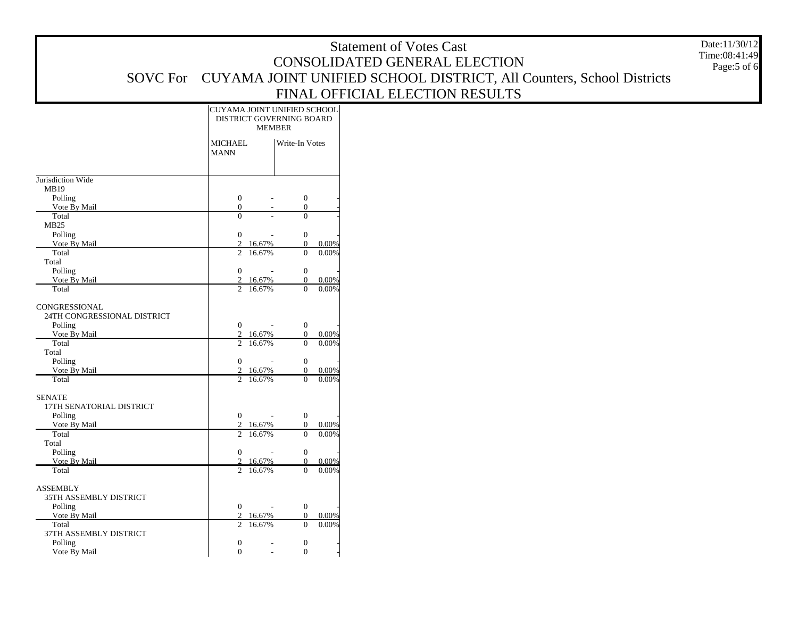|                                              |                                                         |                                                       | <b>Statement of Votes Cast</b>                                                | Date:11/30/12 |
|----------------------------------------------|---------------------------------------------------------|-------------------------------------------------------|-------------------------------------------------------------------------------|---------------|
|                                              |                                                         |                                                       | CONSOLIDATED GENERAL ELECTION                                                 | Time:08:41:49 |
|                                              |                                                         |                                                       | SOVC For CUYAMA JOINT UNIFIED SCHOOL DISTRICT, All Counters, School Districts | Page:5 of 6   |
|                                              |                                                         |                                                       |                                                                               |               |
|                                              |                                                         |                                                       | FINAL OFFICIAL ELECTION RESULTS                                               |               |
|                                              | CUYAMA JOINT UNIFIED SCHOOL<br>DISTRICT GOVERNING BOARD |                                                       |                                                                               |               |
|                                              | <b>MEMBER</b>                                           |                                                       |                                                                               |               |
|                                              | <b>MICHAEL</b>                                          | Write-In Votes                                        |                                                                               |               |
|                                              | <b>MANN</b>                                             |                                                       |                                                                               |               |
|                                              |                                                         |                                                       |                                                                               |               |
| Jurisdiction Wide<br>MB19                    |                                                         |                                                       |                                                                               |               |
| Polling                                      | $\overline{0}$                                          | $\boldsymbol{0}$                                      |                                                                               |               |
| Vote By Mail<br>Total                        | $\theta$<br>$\overline{0}$                              | $\overline{0}$<br>$\overline{0}$                      |                                                                               |               |
| MB25                                         |                                                         |                                                       |                                                                               |               |
| Polling                                      | $\overline{0}$                                          | $\mathbf{0}$                                          |                                                                               |               |
| Vote By Mail<br>Total                        | 2 16.67%<br>2 16.67%                                    | $\overline{0}$<br>0.00%<br>$0.00\%$<br>$\overline{0}$ |                                                                               |               |
| Total                                        |                                                         |                                                       |                                                                               |               |
| Polling                                      | $\mathbf{0}$<br>$\sim$                                  | $\overline{0}$                                        |                                                                               |               |
| Vote By Mail<br>Total                        | 2 16.67%<br>2 16.67%                                    | $\overline{0}$<br>0.00%<br>0.00%<br>$\overline{0}$    |                                                                               |               |
|                                              |                                                         |                                                       |                                                                               |               |
| CONGRESSIONAL<br>24TH CONGRESSIONAL DISTRICT |                                                         |                                                       |                                                                               |               |
| Polling                                      | $\overline{0}$                                          | $\overline{0}$                                        |                                                                               |               |
| Vote By Mail                                 | 2 16.67%                                                | $\overline{0}$<br>0.00%                               |                                                                               |               |
| Total<br>Total                               | 2 16.67%                                                | 0.00%<br>$\overline{0}$                               |                                                                               |               |
| Polling                                      | $\overline{0}$                                          | $\boldsymbol{0}$                                      |                                                                               |               |
| Vote By Mail                                 | 2 16.67%                                                | $\overline{0}$<br>0.00%<br>$\Omega$                   |                                                                               |               |
| Total                                        | 2 16.67%                                                | 0.00%                                                 |                                                                               |               |
| <b>SENATE</b>                                |                                                         |                                                       |                                                                               |               |
| 17TH SENATORIAL DISTRICT<br>Polling          | $\overline{0}$                                          | $\mathbf{0}$                                          |                                                                               |               |
| Vote By Mail                                 | 2 16.67%                                                | $\overline{0}$<br>0.00%                               |                                                                               |               |
| Total                                        | 2 16.67%                                                | $0.00\%$<br>$\overline{0}$                            |                                                                               |               |
| Total<br>Polling                             | $\overline{0}$<br>$\sim$                                | $\mathbf{0}$                                          |                                                                               |               |
| Vote By Mail                                 | 2 16.67%                                                | $\overline{0}$<br>0.00%                               |                                                                               |               |
| Total                                        | 2 16.67%                                                | $\overline{0}$<br>0.00%                               |                                                                               |               |
| <b>ASSEMBLY</b>                              |                                                         |                                                       |                                                                               |               |
| 35TH ASSEMBLY DISTRICT                       |                                                         |                                                       |                                                                               |               |
| Polling<br>Vote By Mail                      | $\overline{0}$<br>2 16.67%                              | $\overline{0}$<br>$\overline{0}$<br>0.00%             |                                                                               |               |
| Total                                        | 2 16.67%                                                | $\overline{0}$<br>0.00%                               |                                                                               |               |
| 37TH ASSEMBLY DISTRICT                       |                                                         |                                                       |                                                                               |               |
| Polling                                      | $\overline{0}$<br>$\overline{a}$                        | $\mathbf{0}$                                          |                                                                               |               |

0 - 0 -

Vote By Mail